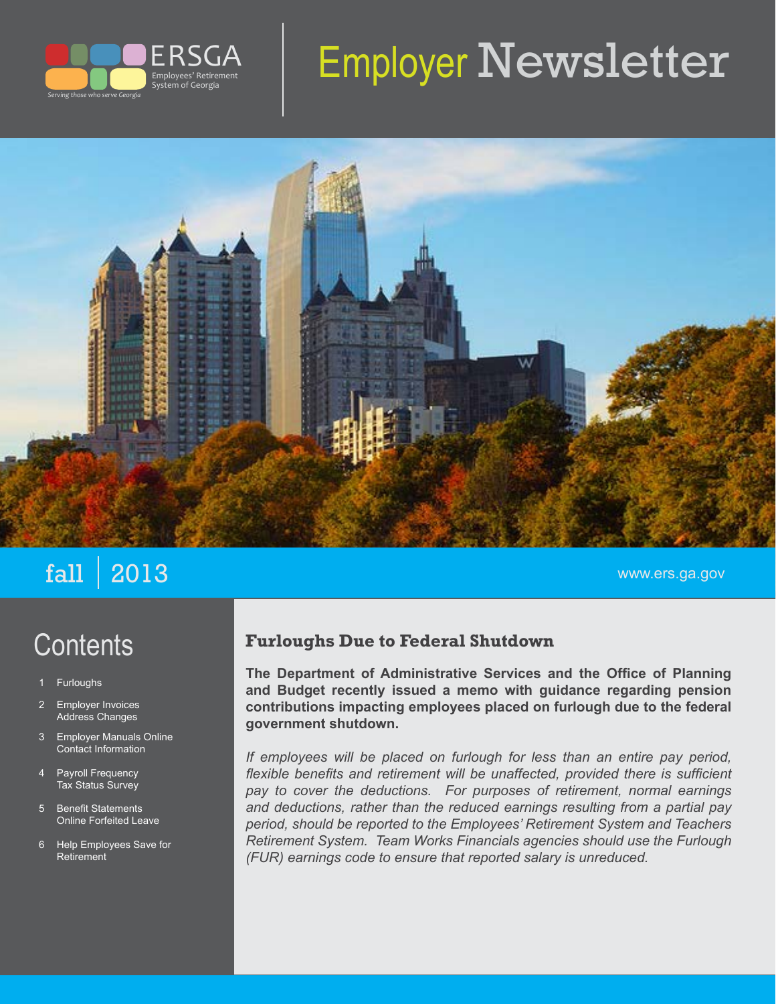

# Employer Newsletter



## $\mathbf{fall}$   $|\hspace{.08cm} 2013$  www.ers.ga.gov

# **Contents**

- **Furloughs**
- 2 Employer Invoices Address Changes
- 3 Employer Manuals Online Contact Information
- 4 Payroll Frequency Tax Status Survey
- 5 Benefit Statements Online Forfeited Leave
- 6 Help Employees Save for Retirement

#### **Furloughs Due to Federal Shutdown**

**The Department of Administrative Services and the Office of Planning and Budget recently issued a memo with guidance regarding pension contributions impacting employees placed on furlough due to the federal government shutdown.**

*If employees will be placed on furlough for less than an entire pay period,*  flexible benefits and retirement will be unaffected, provided there is sufficient *pay to cover the deductions. For purposes of retirement, normal earnings and deductions, rather than the reduced earnings resulting from a partial pay period, should be reported to the Employees' Retirement System and Teachers Retirement System. Team Works Financials agencies should use the Furlough (FUR) earnings code to ensure that reported salary is unreduced.*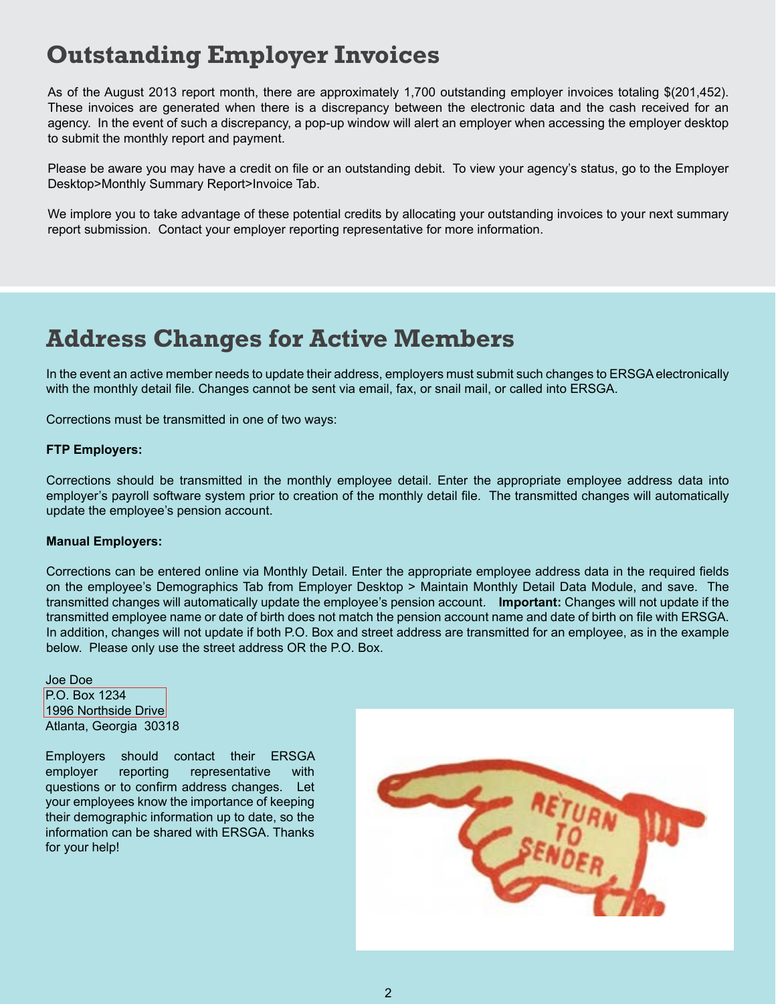### **Outstanding Employer Invoices**

As of the August 2013 report month, there are approximately 1,700 outstanding employer invoices totaling \$(201,452). These invoices are generated when there is a discrepancy between the electronic data and the cash received for an agency. In the event of such a discrepancy, a pop-up window will alert an employer when accessing the employer desktop to submit the monthly report and payment.

Please be aware you may have a credit on file or an outstanding debit. To view your agency's status, go to the Employer Desktop>Monthly Summary Report>Invoice Tab.

We implore you to take advantage of these potential credits by allocating your outstanding invoices to your next summary report submission. Contact your employer reporting representative for more information.

### **Address Changes for Active Members**

In the event an active member needs to update their address, employers must submit such changes to ERSGA electronically with the monthly detail file. Changes cannot be sent via email, fax, or snail mail, or called into ERSGA.

Corrections must be transmitted in one of two ways:

#### **FTP Employers:**

Corrections should be transmitted in the monthly employee detail. Enter the appropriate employee address data into employer's payroll software system prior to creation of the monthly detail file. The transmitted changes will automatically update the employee's pension account.

#### **Manual Employers:**

Corrections can be entered online via Monthly Detail. Enter the appropriate employee address data in the required fields on the employee's Demographics Tab from Employer Desktop > Maintain Monthly Detail Data Module, and save. The transmitted changes will automatically update the employee's pension account. **Important:** Changes will not update if the transmitted employee name or date of birth does not match the pension account name and date of birth on file with ERSGA. In addition, changes will not update if both P.O. Box and street address are transmitted for an employee, as in the example below. Please only use the street address OR the P.O. Box.

Joe Doe P.O. Box 1234 1996 Northside Drive Atlanta, Georgia 30318

Employers should contact their ERSGA employer reporting representative with questions or to confirm address changes. Let your employees know the importance of keeping their demographic information up to date, so the information can be shared with ERSGA. Thanks for your help!

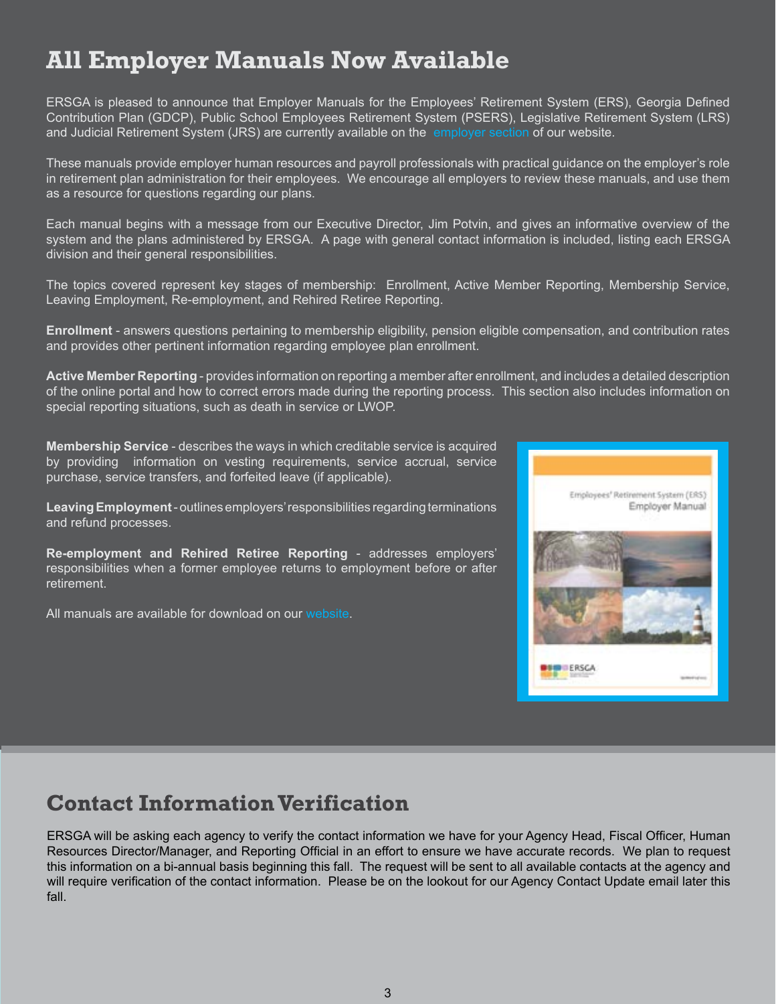### **All Employer Manuals Now Available**

ERSGA is pleased to announce that Employer Manuals for the Employees' Retirement System (ERS), Georgia Defined Contribution Plan (GDCP), Public School Employees Retirement System (PSERS), Legislative Retirement System (LRS) and Judicial Retirement System (JRS) are currently available on the [employer section](http://www.ers.ga.gov/employers/employers.aspx) of our website.

These manuals provide employer human resources and payroll professionals with practical guidance on the employer's role in retirement plan administration for their employees. We encourage all employers to review these manuals, and use them as a resource for questions regarding our plans.

Each manual begins with a message from our Executive Director, Jim Potvin, and gives an informative overview of the system and the plans administered by ERSGA. A page with general contact information is included, listing each ERSGA division and their general responsibilities.

The topics covered represent key stages of membership: Enrollment, Active Member Reporting, Membership Service, Leaving Employment, Re-employment, and Rehired Retiree Reporting.

**Enrollment** - answers questions pertaining to membership eligibility, pension eligible compensation, and contribution rates and provides other pertinent information regarding employee plan enrollment.

**Active Member Reporting** - provides information on reporting a member after enrollment, and includes a detailed description of the online portal and how to correct errors made during the reporting process. This section also includes information on special reporting situations, such as death in service or LWOP.

**Membership Service** - describes the ways in which creditable service is acquired by providing information on vesting requirements, service accrual, service purchase, service transfers, and forfeited leave (if applicable).

**Leaving Employment** - outlines employers' responsibilities regarding terminations and refund processes.

**Re-employment and Rehired Retiree Reporting** - addresses employers' responsibilities when a former employee returns to employment before or after retirement.

All manuals are available for download on our [website.](http://www.ers.ga.gov/employers/employerforms.aspx)



#### **Contact Information Verification**

ERSGA will be asking each agency to verify the contact information we have for your Agency Head, Fiscal Officer, Human Resources Director/Manager, and Reporting Official in an effort to ensure we have accurate records. We plan to request this information on a bi-annual basis beginning this fall. The request will be sent to all available contacts at the agency and will require verification of the contact information. Please be on the lookout for our Agency Contact Update email later this fall.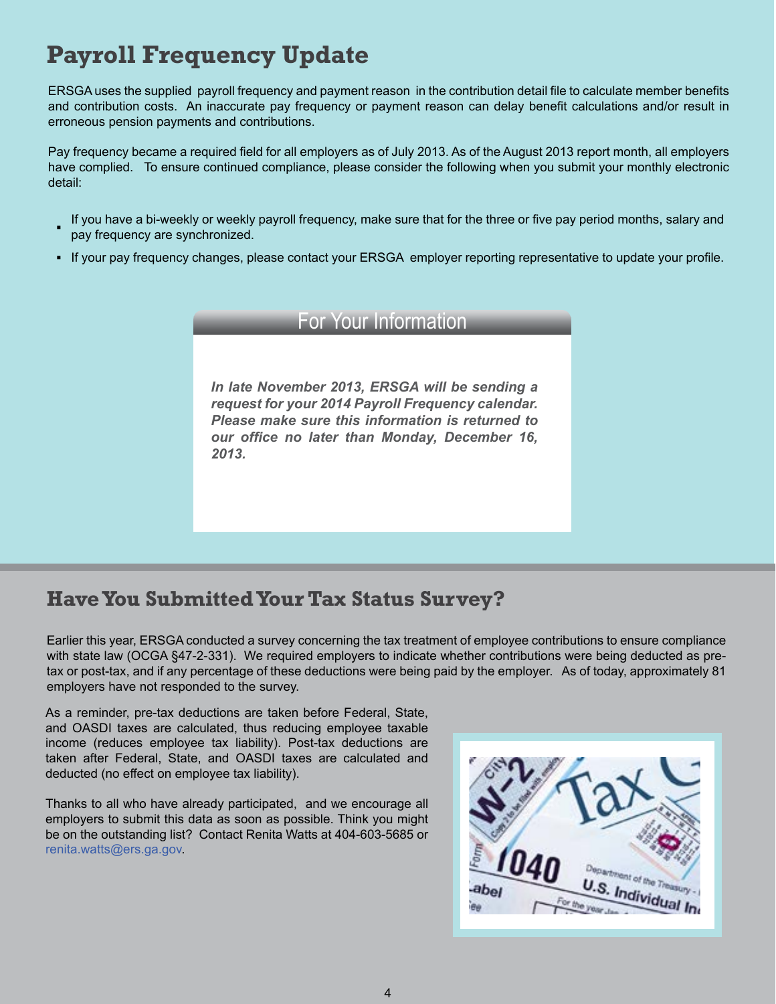### **Payroll Frequency Update**

ERSGA uses the supplied payroll frequency and payment reason in the contribution detail file to calculate member benefits and contribution costs. An inaccurate pay frequency or payment reason can delay benefit calculations and/or result in erroneous pension payments and contributions.

Pay frequency became a required field for all employers as of July 2013. As of the August 2013 report month, all employers have complied. To ensure continued compliance, please consider the following when you submit your monthly electronic detail:

- **▪** If you have a bi-weekly or weekly payroll frequency, make sure that for the three or five pay period months, salary and pay frequency are synchronized.
- If your pay frequency changes, please contact your ERSGA employer reporting representative to update your profile.

#### For Your Information

*In late November 2013, ERSGA will be sending a request for your 2014 Payroll Frequency calendar. Please make sure this information is returned to our office no later than Monday, December 16, 2013.*

#### **Have You Submitted Your Tax Status Survey?**

Earlier this year, ERSGA conducted a survey concerning the tax treatment of employee contributions to ensure compliance with state law (OCGA §47-2-331). We required employers to indicate whether contributions were being deducted as pretax or post-tax, and if any percentage of these deductions were being paid by the employer. As of today, approximately 81 employers have not responded to the survey.

As a reminder, pre-tax deductions are taken before Federal, State, and OASDI taxes are calculated, thus reducing employee taxable income (reduces employee tax liability). Post-tax deductions are taken after Federal, State, and OASDI taxes are calculated and deducted (no effect on employee tax liability).

Thanks to all who have already participated, and we encourage all employers to submit this data as soon as possible. Think you might be on the outstanding list? Contact Renita Watts at 404-603-5685 or [renita.watts@ers.ga.gov](mailto:renita.watts@ers.ga.gov).

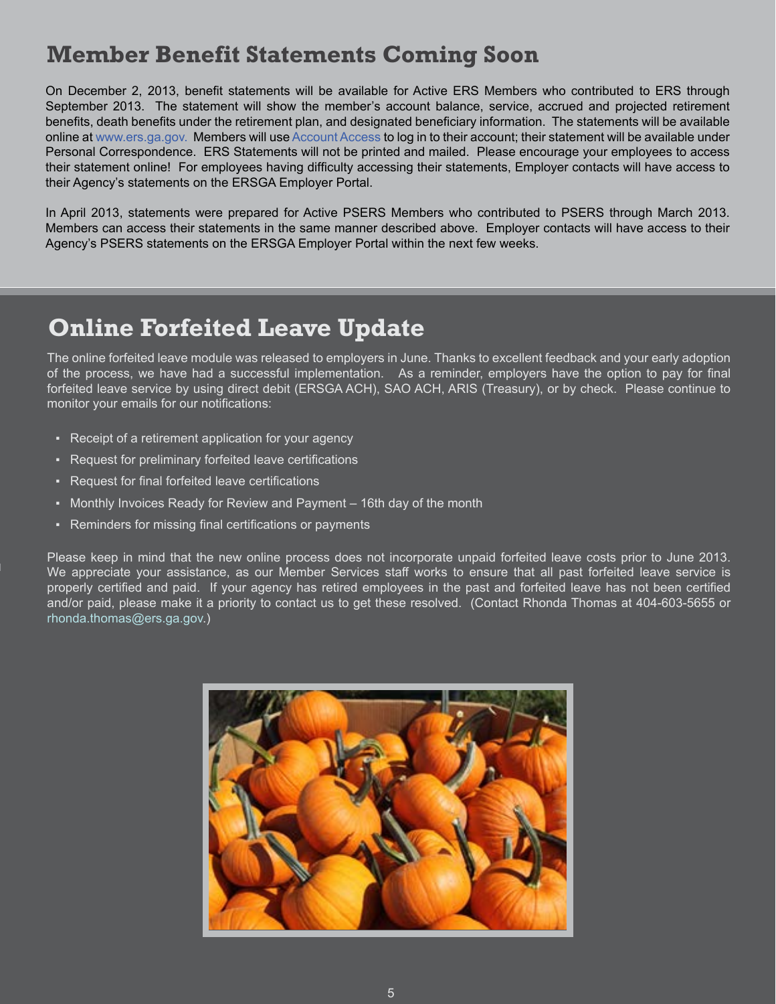#### **Member Benefit Statements Coming Soon**

On December 2, 2013, benefit statements will be available for Active ERS Members who contributed to ERS through September 2013. The statement will show the member's account balance, service, accrued and projected retirement benefits, death benefits under the retirement plan, and designated beneficiary information. The statements will be available online at [www.ers.ga.gov.](http://www.ers.ga.gov) Members will use [Account Access](http://www.ers.ga.gov/accountaccess/accountaccess.aspx) to log in to their account; their statement will be available under Personal Correspondence. ERS Statements will not be printed and mailed. Please encourage your employees to access their statement online! For employees having difficulty accessing their statements, Employer contacts will have access to their Agency's statements on the ERSGA Employer Portal.

In April 2013, statements were prepared for Active PSERS Members who contributed to PSERS through March 2013. Members can access their statements in the same manner described above. Employer contacts will have access to their Agency's PSERS statements on the ERSGA Employer Portal within the next few weeks.

### **Online Forfeited Leave Update**

The online forfeited leave module was released to employers in June. Thanks to excellent feedback and your early adoption of the process, we have had a successful implementation. As a reminder, employers have the option to pay for final forfeited leave service by using direct debit (ERSGA ACH), SAO ACH, ARIS (Treasury), or by check. Please continue to monitor your emails for our notifications:

- Receipt of a retirement application for your agency
- Request for preliminary forfeited leave certifications
- Request for final forfeited leave certifications
- Monthly Invoices Ready for Review and Payment 16th day of the month
- Reminders for missing final certifications or payments

Please keep in mind that the new online process does not incorporate unpaid forfeited leave costs prior to June 2013. We appreciate your assistance, as our Member Services staff works to ensure that all past forfeited leave service is properly certified and paid. If your agency has retired employees in the past and forfeited leave has not been certified and/or paid, please make it a priority to contact us to get these resolved. (Contact Rhonda Thomas at 404-603-5655 or r[honda.thomas@ers.ga.gov](mailto:rhonda.thomas@ers.ga.gov).)